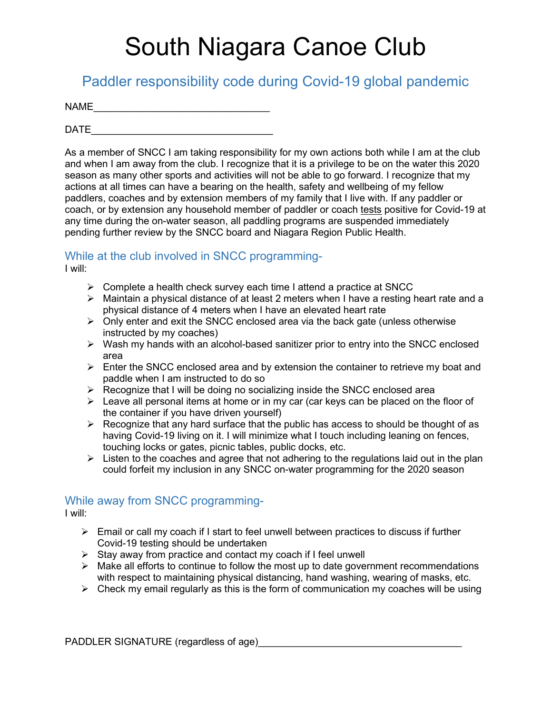# South Niagara Canoe Club

Paddler responsibility code during Covid-19 global pandemic

| <b>NAME</b> |  |  |  |
|-------------|--|--|--|
|             |  |  |  |

 $\Box$ 

As a member of SNCC I am taking responsibility for my own actions both while I am at the club and when I am away from the club. I recognize that it is a privilege to be on the water this 2020 season as many other sports and activities will not be able to go forward. I recognize that my actions at all times can have a bearing on the health, safety and wellbeing of my fellow paddlers, coaches and by extension members of my family that I live with. If any paddler or coach, or by extension any household member of paddler or coach tests positive for Covid-19 at any time during the on-water season, all paddling programs are suspended immediately pending further review by the SNCC board and Niagara Region Public Health.

### While at the club involved in SNCC programming-

I will:

- $\triangleright$  Complete a health check survey each time I attend a practice at SNCC
- Maintain a physical distance of at least 2 meters when I have a resting heart rate and a physical distance of 4 meters when I have an elevated heart rate
- $\triangleright$  Only enter and exit the SNCC enclosed area via the back gate (unless otherwise instructed by my coaches)
- $\triangleright$  Wash my hands with an alcohol-based sanitizer prior to entry into the SNCC enclosed area
- $\triangleright$  Enter the SNCC enclosed area and by extension the container to retrieve my boat and paddle when I am instructed to do so
- $\triangleright$  Recognize that I will be doing no socializing inside the SNCC enclosed area
- $\triangleright$  Leave all personal items at home or in my car (car keys can be placed on the floor of the container if you have driven yourself)
- $\triangleright$  Recognize that any hard surface that the public has access to should be thought of as having Covid-19 living on it. I will minimize what I touch including leaning on fences, touching locks or gates, picnic tables, public docks, etc.
- $\triangleright$  Listen to the coaches and agree that not adhering to the regulations laid out in the plan could forfeit my inclusion in any SNCC on-water programming for the 2020 season

#### While away from SNCC programming-

I will:

- $\triangleright$  Email or call my coach if I start to feel unwell between practices to discuss if further Covid-19 testing should be undertaken
- $\triangleright$  Stay away from practice and contact my coach if I feel unwell
- $\triangleright$  Make all efforts to continue to follow the most up to date government recommendations with respect to maintaining physical distancing, hand washing, wearing of masks, etc.
- $\triangleright$  Check my email regularly as this is the form of communication my coaches will be using